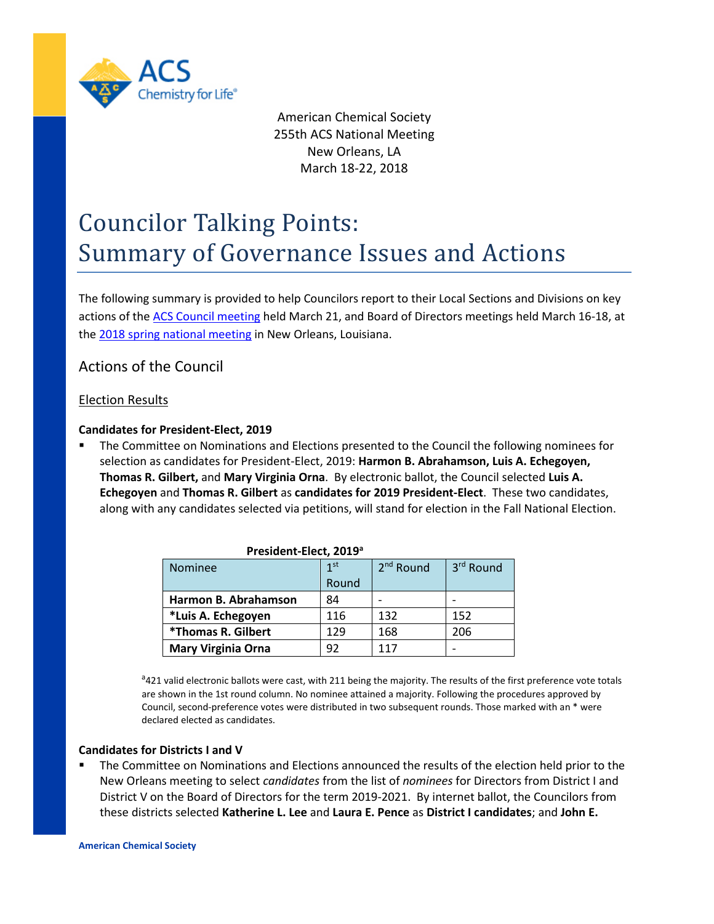

American Chemical Society 255th ACS National Meeting New Orleans, LA March 18-22, 2018

# Councilor Talking Points: Summary of Governance Issues and Actions

The following summary is provided to help Councilors report to their Local Sections and Divisions on key actions of the [ACS Council](https://www.acs.org/content/acs/en/about/governance/councilors.html) meeting held March 21, and Board of Directors meetings held March 16-18, at the 2018 [spring national meeting](https://www.acs.org/content/acs/en/meetings.html) in New Orleans, Louisiana.

# Actions of the Council

#### Election Results

#### **Candidates for President-Elect, 2019**

 The Committee on Nominations and Elections presented to the Council the following nominees for selection as candidates for President-Elect, 2019: **Harmon B. Abrahamson, Luis A. Echegoyen, Thomas R. Gilbert,** and **Mary Virginia Orna**. By electronic ballot, the Council selected **Luis A. Echegoyen** and **Thomas R. Gilbert** as **candidates for 2019 President-Elect**. These two candidates, along with any candidates selected via petitions, will stand for election in the Fall National Election.

| Nominee                   | 1 <sub>st</sub> | $2nd$ Round | 3 <sup>rd</sup> Round |
|---------------------------|-----------------|-------------|-----------------------|
|                           | Round           |             |                       |
| Harmon B. Abrahamson      | 84              |             |                       |
| *Luis A. Echegoyen        | 116             | 132         | 152                   |
| *Thomas R. Gilbert        | 129             | 168         | 206                   |
| <b>Mary Virginia Orna</b> | 92              | 117         |                       |

#### **President-Elect, 2019a**

<sup>a</sup>421 valid electronic ballots were cast, with 211 being the majority. The results of the first preference vote totals are shown in the 1st round column. No nominee attained a majority. Following the procedures approved by Council, second-preference votes were distributed in two subsequent rounds. Those marked with an \* were declared elected as candidates.

#### **Candidates for Districts I and V**

 The Committee on Nominations and Elections announced the results of the election held prior to the New Orleans meeting to select *candidates* from the list of *nominees* for Directors from District I and District V on the Board of Directors for the term 2019-2021. By internet ballot, the Councilors from these districts selected **Katherine L. Lee** and **Laura E. Pence** as **District I candidates**; and **John E.**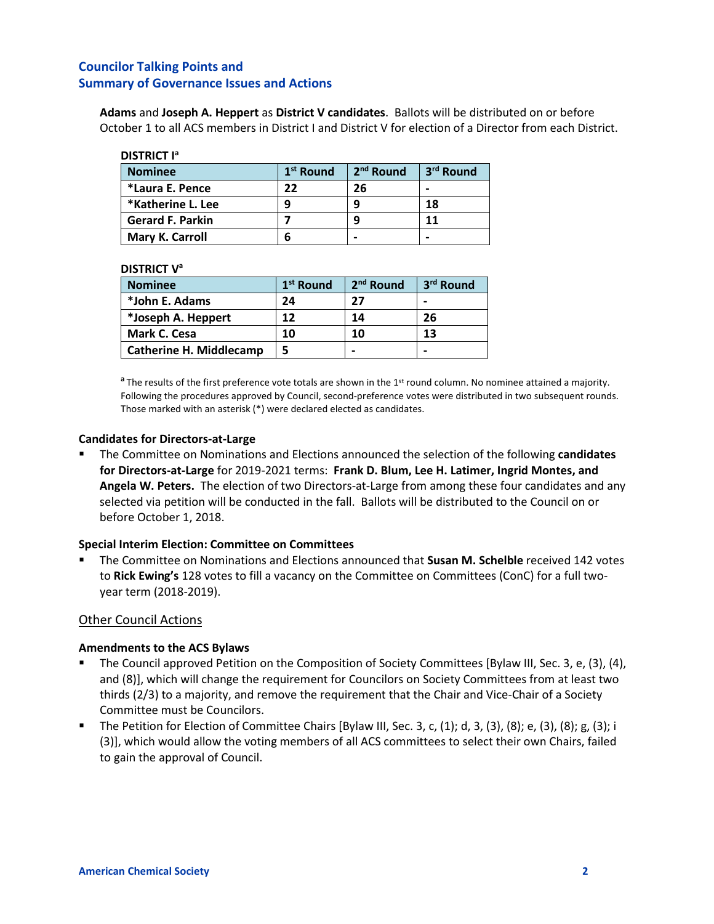**Adams** and **Joseph A. Heppert** as **District V candidates**. Ballots will be distributed on or before October 1 to all ACS members in District I and District V for election of a Director from each District.

| <b>Nominee</b>          | 1 <sup>st</sup> Round | 2 <sup>nd</sup> Round | 3 <sup>rd</sup> Round |
|-------------------------|-----------------------|-----------------------|-----------------------|
| *Laura E. Pence         | 22                    | 26                    |                       |
| *Katherine L. Lee       |                       |                       | 18                    |
| <b>Gerard F. Parkin</b> |                       |                       | 11                    |
| Mary K. Carroll         |                       | -                     | -                     |

#### **DISTRICT Va**

| <b>Nominee</b>                 | 1 <sup>st</sup> Round | 2 <sup>nd</sup> Round | 3 <sup>rd</sup> Round |
|--------------------------------|-----------------------|-----------------------|-----------------------|
| *John E. Adams                 | 24                    | 27                    | -                     |
| *Joseph A. Heppert             | 12                    | 14                    | 26                    |
| Mark C. Cesa                   | 10                    | 10                    | 13                    |
| <b>Catherine H. Middlecamp</b> |                       |                       | -                     |

**a** The results of the first preference vote totals are shown in the 1<sup>st</sup> round column. No nominee attained a majority. Following the procedures approved by Council, second-preference votes were distributed in two subsequent rounds. Those marked with an asterisk (\*) were declared elected as candidates.

#### **Candidates for Directors-at-Large**

 The Committee on Nominations and Elections announced the selection of the following **candidates for Directors-at-Large** for 2019-2021 terms: **Frank D. Blum, Lee H. Latimer, Ingrid Montes, and Angela W. Peters.** The election of two Directors-at-Large from among these four candidates and any selected via petition will be conducted in the fall. Ballots will be distributed to the Council on or before October 1, 2018.

#### **Special Interim Election: Committee on Committees**

 The Committee on Nominations and Elections announced that **Susan M. Schelble** received 142 votes to **Rick Ewing's** 128 votes to fill a vacancy on the Committee on Committees (ConC) for a full twoyear term (2018-2019).

## Other Council Actions

#### **Amendments to the ACS Bylaws**

- The Council approved Petition on the Composition of Society Committees [Bylaw III, Sec. 3, e, (3), (4), and (8)], which will change the requirement for Councilors on Society Committees from at least two thirds (2/3) to a majority, and remove the requirement that the Chair and Vice-Chair of a Society Committee must be Councilors.
- The Petition for Election of Committee Chairs [Bylaw III, Sec. 3, c, (1); d, 3, (3), (8); e, (3), (8); g, (3); i (3)], which would allow the voting members of all ACS committees to select their own Chairs, failed to gain the approval of Council.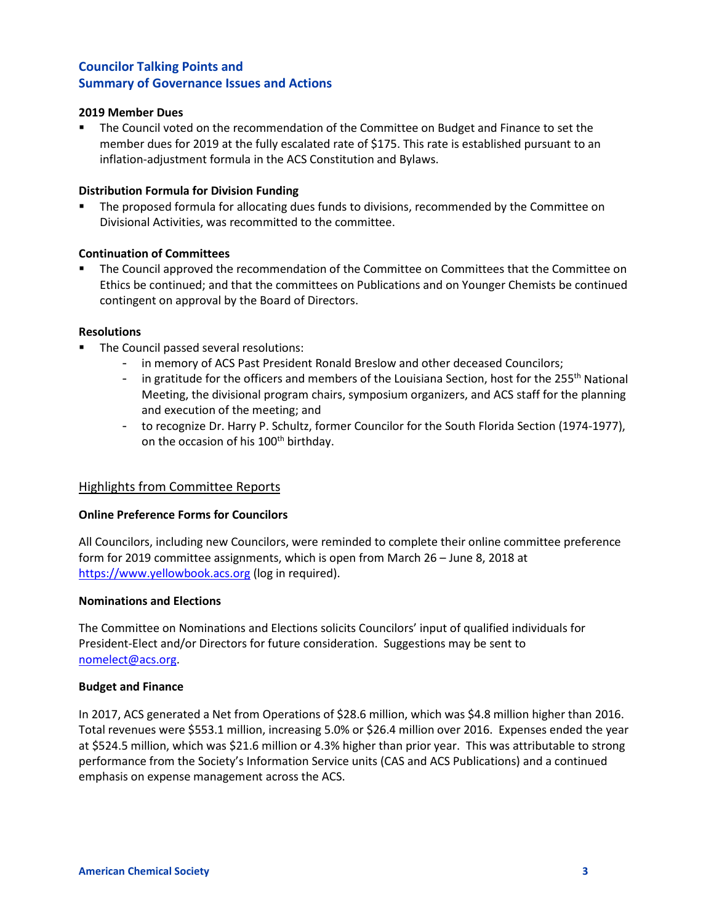#### **2019 Member Dues**

**The Council voted on the recommendation of the Committee on Budget and Finance to set the** member dues for 2019 at the fully escalated rate of \$175. This rate is established pursuant to an inflation-adjustment formula in the ACS Constitution and Bylaws.

#### **Distribution Formula for Division Funding**

 The proposed formula for allocating dues funds to divisions, recommended by the Committee on Divisional Activities, was recommitted to the committee.

#### **Continuation of Committees**

 The Council approved the recommendation of the Committee on Committees that the Committee on Ethics be continued; and that the committees on Publications and on Younger Chemists be continued contingent on approval by the Board of Directors.

#### **Resolutions**

- **The Council passed several resolutions:** 
	- in memory of ACS Past President Ronald Breslow and other deceased Councilors;
	- $-$  in gratitude for the officers and members of the Louisiana Section, host for the 255<sup>th</sup> National Meeting, the divisional program chairs, symposium organizers, and ACS staff for the planning and execution of the meeting; and
	- to recognize Dr. Harry P. Schultz, former Councilor for the South Florida Section (1974-1977), on the occasion of his 100<sup>th</sup> birthday.

#### Highlights from Committee Reports

#### **Online Preference Forms for Councilors**

All Councilors, including new Councilors, were reminded to complete their online committee preference form for 2019 committee assignments, which is open from March 26 – June 8, 2018 at [https://www.yellowbook.acs.org](https://www.yellowbook.acs.org/) (log in required).

#### **Nominations and Elections**

The Committee on Nominations and Elections solicits Councilors' input of qualified individuals for President-Elect and/or Directors for future consideration. Suggestions may be sent to [nomelect@acs.org.](mailto:nomelect@acs.org)

#### **Budget and Finance**

In 2017, ACS generated a Net from Operations of \$28.6 million, which was \$4.8 million higher than 2016. Total revenues were \$553.1 million, increasing 5.0% or \$26.4 million over 2016. Expenses ended the year at \$524.5 million, which was \$21.6 million or 4.3% higher than prior year. This was attributable to strong performance from the Society's Information Service units (CAS and ACS Publications) and a continued emphasis on expense management across the ACS.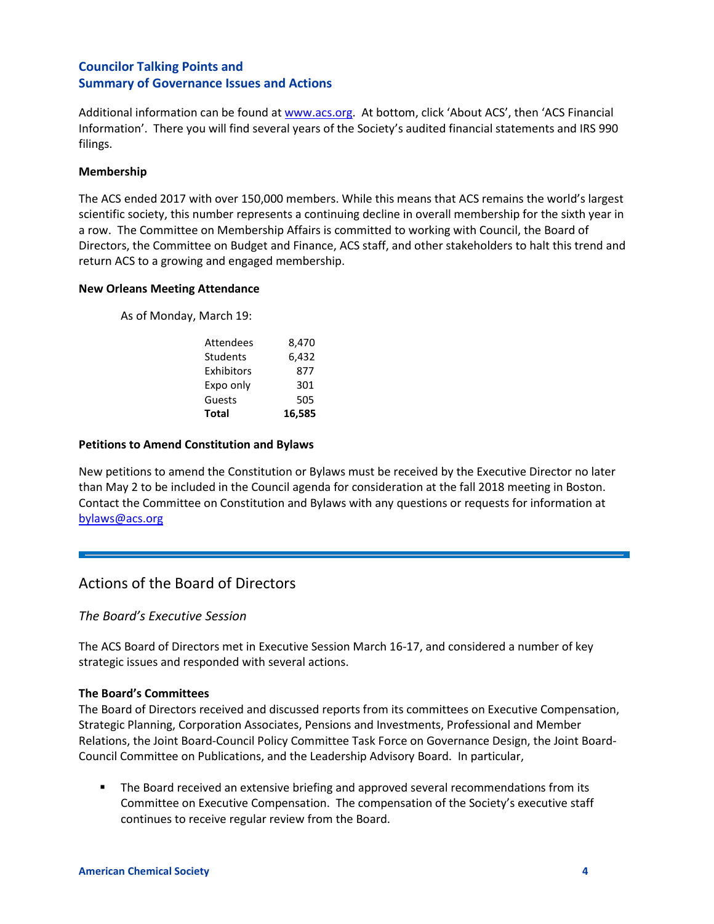Additional information can be found at [www.acs.org.](http://www.acs.org/) At bottom, click 'About ACS', then 'ACS Financial Information'. There you will find several years of the Society's audited financial statements and IRS 990 filings.

#### **Membership**

The ACS ended 2017 with over 150,000 members. While this means that ACS remains the world's largest scientific society, this number represents a continuing decline in overall membership for the sixth year in a row. The Committee on Membership Affairs is committed to working with Council, the Board of Directors, the Committee on Budget and Finance, ACS staff, and other stakeholders to halt this trend and return ACS to a growing and engaged membership.

#### **New Orleans Meeting Attendance**

As of Monday, March 19:

| <b>Total</b>     | 16.585 |
|------------------|--------|
| Guests           | 505    |
| Expo only        | 301    |
| Exhibitors       | 877    |
| <b>Students</b>  | 6,432  |
| <b>Attendees</b> | 8,470  |

#### **Petitions to Amend Constitution and Bylaws**

New petitions to amend the Constitution or Bylaws must be received by the Executive Director no later than May 2 to be included in the Council agenda for consideration at the fall 2018 meeting in Boston. Contact the Committee on Constitution and Bylaws with any questions or requests for information at [bylaws@acs.org](mailto:bylaws@acs.org)

# Actions of the Board of Directors

#### *The Board's Executive Session*

The ACS Board of Directors met in Executive Session March 16-17, and considered a number of key strategic issues and responded with several actions.

#### **The Board's Committees**

The Board of Directors received and discussed reports from its committees on Executive Compensation, Strategic Planning, Corporation Associates, Pensions and Investments, Professional and Member Relations, the Joint Board-Council Policy Committee Task Force on Governance Design, the Joint Board-Council Committee on Publications, and the Leadership Advisory Board. In particular,

**The Board received an extensive briefing and approved several recommendations from its** Committee on Executive Compensation. The compensation of the Society's executive staff continues to receive regular review from the Board.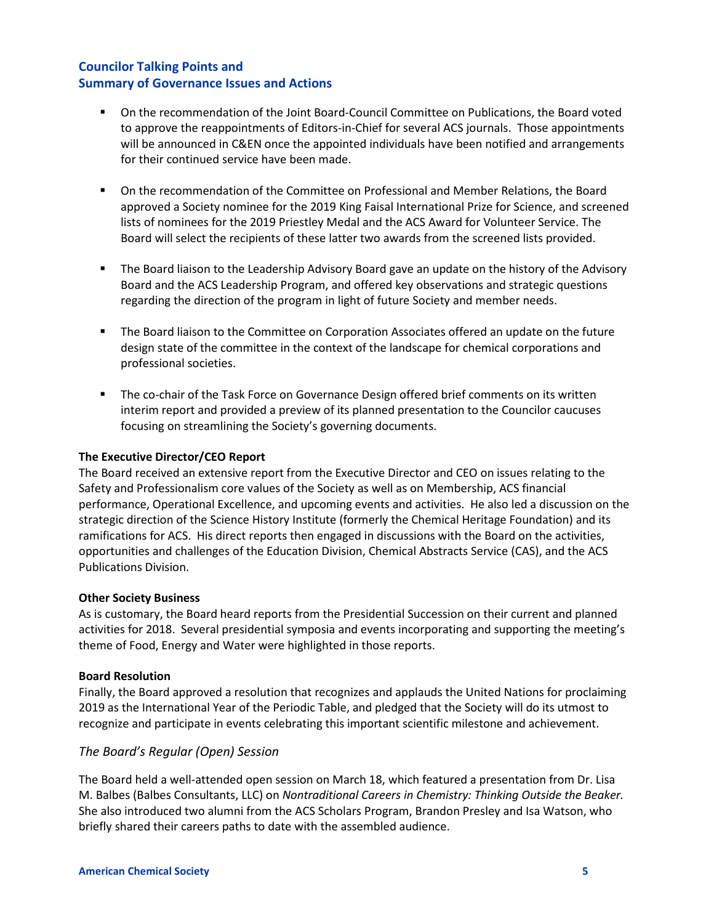- On the recommendation of the Joint Board-Council Committee on Publications, the Board voted to approve the reappointments of Editors-in-Chief for several ACS journals. Those appointments will be announced in C&EN once the appointed individuals have been notified and arrangements for their continued service have been made.
- On the recommendation of the Committee on Professional and Member Relations, the Board approved a Society nominee for the 2019 King Faisal International Prize for Science, and screened lists of nominees for the 2019 Priestley Medal and the ACS Award for Volunteer Service. The Board will select the recipients of these latter two awards from the screened lists provided.
- **The Board liaison to the Leadership Advisory Board gave an update on the history of the Advisory** Board and the ACS Leadership Program, and offered key observations and strategic questions regarding the direction of the program in light of future Society and member needs.
- The Board liaison to the Committee on Corporation Associates offered an update on the future design state of the committee in the context of the landscape for chemical corporations and professional societies.
- The co-chair of the Task Force on Governance Design offered brief comments on its written interim report and provided a preview of its planned presentation to the Councilor caucuses focusing on streamlining the Society's governing documents.

#### **The Executive Director/CEO Report**

The Board received an extensive report from the Executive Director and CEO on issues relating to the Safety and Professionalism core values of the Society as well as on Membership, ACS financial performance, Operational Excellence, and upcoming events and activities. He also led a discussion on the strategic direction of the Science History Institute (formerly the Chemical Heritage Foundation) and its ramifications for ACS. His direct reports then engaged in discussions with the Board on the activities, opportunities and challenges of the Education Division, Chemical Abstracts Service (CAS), and the ACS Publications Division.

#### **Other Society Business**

As is customary, the Board heard reports from the Presidential Succession on their current and planned activities for 2018. Several presidential symposia and events incorporating and supporting the meeting's theme of Food, Energy and Water were highlighted in those reports.

#### **Board Resolution**

Finally, the Board approved a resolution that recognizes and applauds the United Nations for proclaiming 2019 as the International Year of the Periodic Table, and pledged that the Society will do its utmost to recognize and participate in events celebrating this important scientific milestone and achievement.

#### *The Board's Regular (Open) Session*

The Board held a well-attended open session on March 18, which featured a presentation from Dr. Lisa M. Balbes (Balbes Consultants, LLC) on *Nontraditional Careers in Chemistry: Thinking Outside the Beaker.*  She also introduced two alumni from the ACS Scholars Program, Brandon Presley and Isa Watson, who briefly shared their careers paths to date with the assembled audience.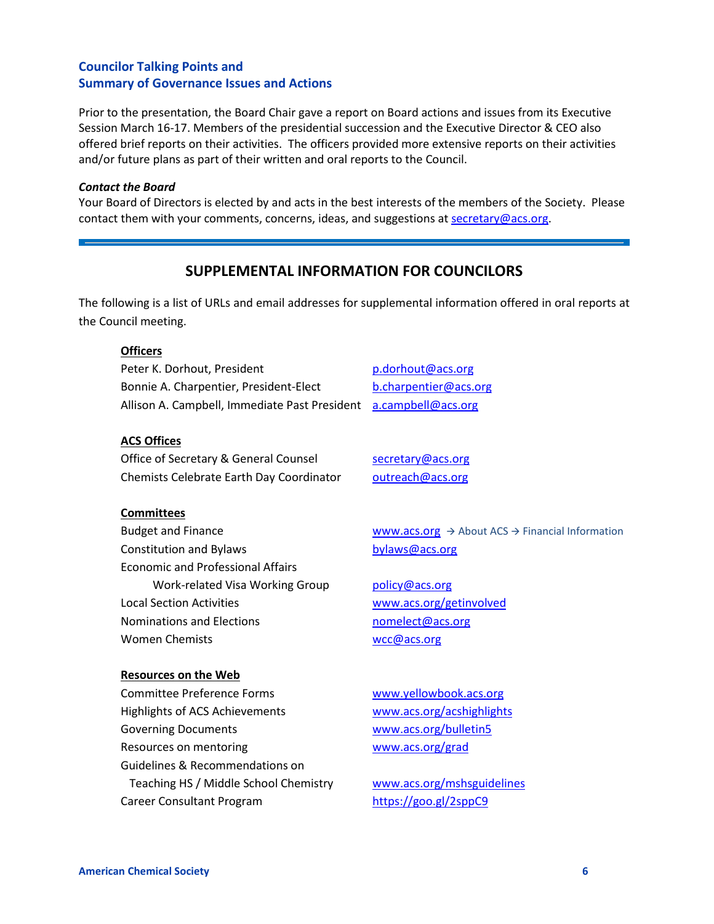Prior to the presentation, the Board Chair gave a report on Board actions and issues from its Executive Session March 16-17. Members of the presidential succession and the Executive Director & CEO also offered brief reports on their activities. The officers provided more extensive reports on their activities and/or future plans as part of their written and oral reports to the Council.

#### *Contact the Board*

Your Board of Directors is elected by and acts in the best interests of the members of the Society. Please contact them with your comments, concerns, ideas, and suggestions at secretary@acs.org.

## **SUPPLEMENTAL INFORMATION FOR COUNCILORS**

The following is a list of URLs and email addresses for supplemental information offered in oral reports at the Council meeting.

| <b>Officers</b>                               |                                                                         |
|-----------------------------------------------|-------------------------------------------------------------------------|
| Peter K. Dorhout, President                   | p.dorhout@acs.org                                                       |
| Bonnie A. Charpentier, President-Elect        | b.charpentier@acs.org                                                   |
| Allison A. Campbell, Immediate Past President | a.campbell@acs.org                                                      |
|                                               |                                                                         |
| <b>ACS Offices</b>                            |                                                                         |
| Office of Secretary & General Counsel         | secretary@acs.org                                                       |
| Chemists Celebrate Earth Day Coordinator      | outreach@acs.org                                                        |
|                                               |                                                                         |
| <b>Committees</b>                             |                                                                         |
| <b>Budget and Finance</b>                     | www.acs.org $\rightarrow$ About ACS $\rightarrow$ Financial Information |
| <b>Constitution and Bylaws</b>                | bylaws@acs.org                                                          |
| <b>Economic and Professional Affairs</b>      |                                                                         |
| Work-related Visa Working Group               | policy@acs.org                                                          |
| <b>Local Section Activities</b>               | www.acs.org/getinvolved                                                 |
| Nominations and Elections                     | nomelect@acs.org                                                        |
| <b>Women Chemists</b>                         | wcc@acs.org                                                             |
|                                               |                                                                         |
| <b>Resources on the Web</b>                   |                                                                         |
| <b>Committee Preference Forms</b>             | www.yellowbook.acs.org                                                  |
| Highlights of ACS Achievements                | www.acs.org/acshighlights                                               |
| <b>Governing Documents</b>                    | www.acs.org/bulletin5                                                   |
| Resources on mentoring                        | www.acs.org/grad                                                        |
| Guidelines & Recommendations on               |                                                                         |
| Teaching HS / Middle School Chemistry         | www.acs.org/mshsguidelines                                              |
| Career Consultant Program                     | https://goo.gl/2sppC9                                                   |
|                                               |                                                                         |